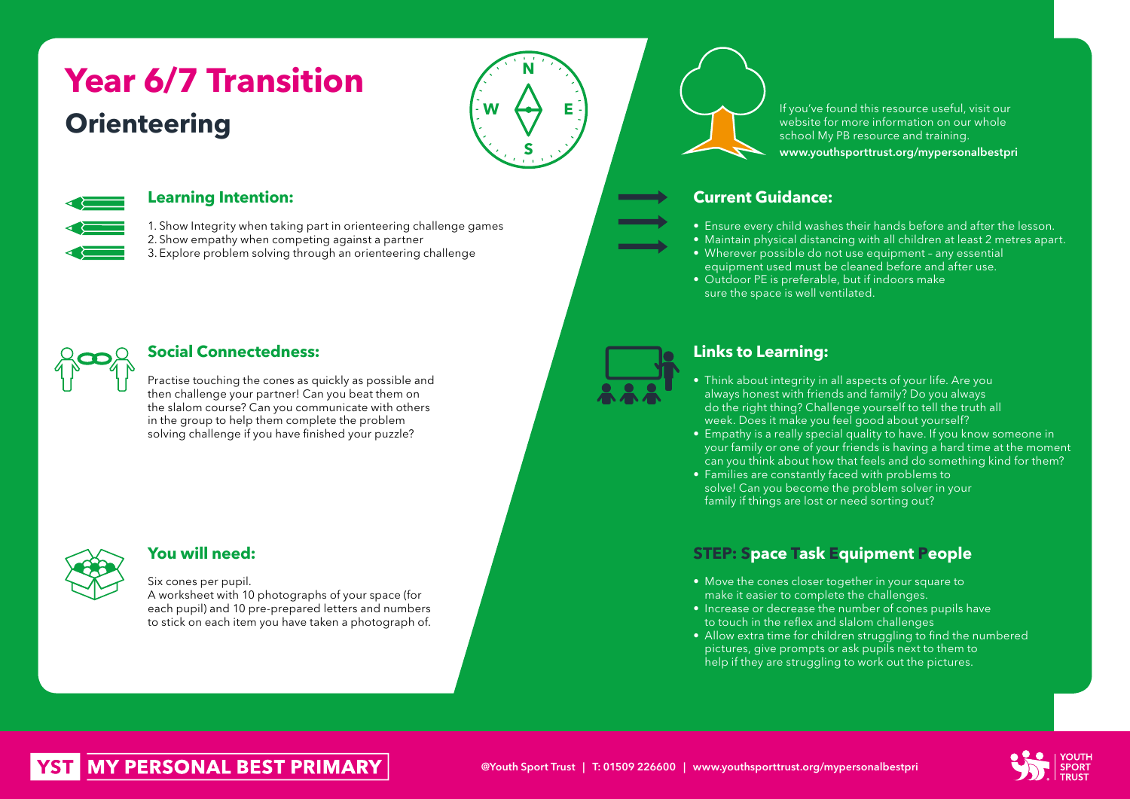# **Orienteering Year 6/7 Transition**





## **Learning Intention:**

1. Show Integrity when taking part in orienteering challenge games 2. Show empathy when competing against a partner

3. Explore problem solving through an orienteering challenge



## **Social Connectedness:**

Practise touching the cones as quickly as possible and then challenge your partner! Can you beat them on the slalom course? Can you communicate with others in the group to help them complete the problem solving challenge if you have finished your puzzle?



## **You will need:**

#### Six cones per pupil.

A worksheet with 10 photographs of your space (for each pupil) and 10 pre-prepared letters and numbers to stick on each item you have taken a photograph of. If you've found this resource useful, visit our website for more information on our whole school My PB resource and training. www.youthsporttrust.org/mypersonalbestpri

# **Current Guidance:**

- Ensure every child washes their hands before and after the lesson.
- Maintain physical distancing with all children at least 2 metres apart.
- Wherever possible do not use equipment any essential equipment used must be cleaned before and after use.
- Outdoor PE is preferable, but if indoors make sure the space is well ventilated.



## **Links to Learning:**

- Think about integrity in all aspects of your life. Are you always honest with friends and family? Do you always do the right thing? Challenge yourself to tell the truth all week. Does it make you feel good about yourself?
- Empathy is a really special quality to have. If you know someone in your family or one of your friends is having a hard time at the moment can you think about how that feels and do something kind for them?
- Families are constantly faced with problems to solve! Can you become the problem solver in your family if things are lost or need sorting out?

## **STEP: Space Task Equipment People**

- Move the cones closer together in your square to make it easier to complete the challenges.
- Increase or decrease the number of cones pupils have to touch in the reflex and slalom challenges
- Allow extra time for children struggling to find the numbered pictures, give prompts or ask pupils next to them to help if they are struggling to work out the pictures.



# **MY PERSONAL BEST PRIMARY**